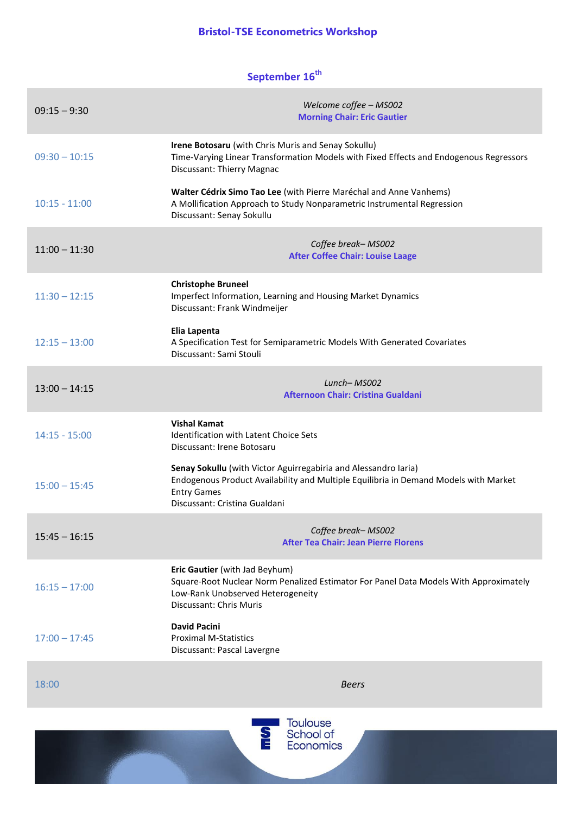## **Bristol-TSE Econometrics Workshop**

## **September 16th**

| $09:15 - 9:30$  | Welcome coffee - MS002<br><b>Morning Chair: Eric Gautier</b>                                                                                                                                                   |
|-----------------|----------------------------------------------------------------------------------------------------------------------------------------------------------------------------------------------------------------|
| $09:30 - 10:15$ | Irene Botosaru (with Chris Muris and Senay Sokullu)<br>Time-Varying Linear Transformation Models with Fixed Effects and Endogenous Regressors<br>Discussant: Thierry Magnac                                    |
| $10:15 - 11:00$ | Walter Cédrix Simo Tao Lee (with Pierre Maréchal and Anne Vanhems)<br>A Mollification Approach to Study Nonparametric Instrumental Regression<br>Discussant: Senay Sokullu                                     |
| $11:00 - 11:30$ | Coffee break-MS002<br><b>After Coffee Chair: Louise Laage</b>                                                                                                                                                  |
| $11:30 - 12:15$ | <b>Christophe Bruneel</b><br>Imperfect Information, Learning and Housing Market Dynamics<br>Discussant: Frank Windmeijer                                                                                       |
| $12:15 - 13:00$ | Elia Lapenta<br>A Specification Test for Semiparametric Models With Generated Covariates<br>Discussant: Sami Stouli                                                                                            |
| $13:00 - 14:15$ | $Lunch-MSOO2$<br><b>Afternoon Chair: Cristina Gualdani</b>                                                                                                                                                     |
| $14:15 - 15:00$ | <b>Vishal Kamat</b><br><b>Identification with Latent Choice Sets</b><br>Discussant: Irene Botosaru                                                                                                             |
| $15:00 - 15:45$ | Senay Sokullu (with Victor Aguirregabiria and Alessandro Iaria)<br>Endogenous Product Availability and Multiple Equilibria in Demand Models with Market<br><b>Entry Games</b><br>Discussant: Cristina Gualdani |
| $15:45 - 16:15$ | Coffee break-MS002<br><b>After Tea Chair: Jean Pierre Florens</b>                                                                                                                                              |
| $16:15 - 17:00$ | Eric Gautier (with Jad Beyhum)<br>Square-Root Nuclear Norm Penalized Estimator For Panel Data Models With Approximately<br>Low-Rank Unobserved Heterogeneity<br>Discussant: Chris Muris                        |
| $17:00 - 17:45$ | <b>David Pacini</b><br><b>Proximal M-Statistics</b><br>Discussant: Pascal Lavergne                                                                                                                             |
| 18:00           | <b>Beers</b>                                                                                                                                                                                                   |
|                 | <b>Toulouse</b><br>School of<br><b>Economics</b>                                                                                                                                                               |